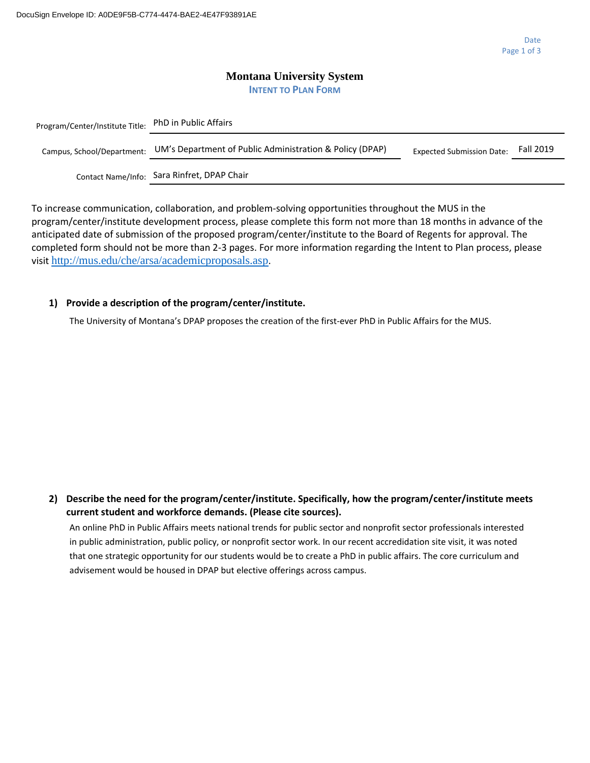### **Montana University System INTENT TO PLAN FORM**

| Program/Center/Institute Title: | <b>PhD in Public Affairs</b>                             |                                  |           |
|---------------------------------|----------------------------------------------------------|----------------------------------|-----------|
| Campus, School/Department:      | UM's Department of Public Administration & Policy (DPAP) | <b>Expected Submission Date:</b> | Fall 2019 |
| Contact Name/Info:              | Sara Rinfret, DPAP Chair                                 |                                  |           |

To increase communication, collaboration, and problem-solving opportunities throughout the MUS in the program/center/institute development process, please complete this form not more than 18 months in advance of the anticipated date of submission of the proposed program/center/institute to the Board of Regents for approval. The completed form should not be more than 2-3 pages. For more information regarding the Intent to Plan process, please visit <http://mus.edu/che/arsa/academicproposals.asp>.

## **1) Provide a description of the program/center/institute.**

The University of Montana's DPAP proposes the creation of the first-ever PhD in Public Affairs for the MUS.

**2) Describe the need for the program/center/institute. Specifically, how the program/center/institute meets current student and workforce demands. (Please cite sources).**

An online PhD in Public Affairs meets national trends for public sector and nonprofit sector professionals interested in public administration, public policy, or nonprofit sector work. In our recent accredidation site visit, it was noted that one strategic opportunity for our students would be to create a PhD in public affairs. The core curriculum and advisement would be housed in DPAP but elective offerings across campus.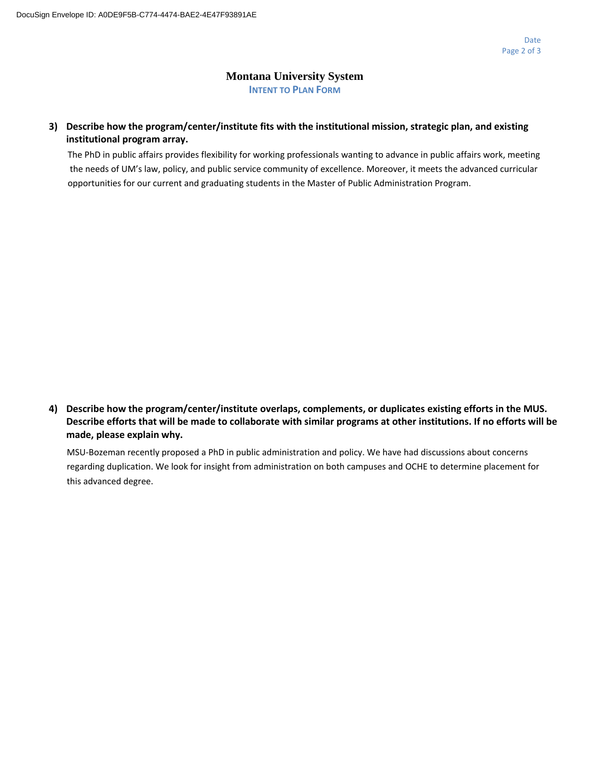## **Montana University System INTENT TO PLAN FORM**

## **3) Describe how the program/center/institute fits with the institutional mission, strategic plan, and existing institutional program array.**

The PhD in public affairs provides flexibility for working professionals wanting to advance in public affairs work, meeting the needs of UM's law, policy, and public service community of excellence. Moreover, it meets the advanced curricular opportunities for our current and graduating students in the Master of Public Administration Program.

**4) Describe how the program/center/institute overlaps, complements, or duplicates existing efforts in the MUS. Describe efforts that will be made to collaborate with similar programs at other institutions. If no efforts will be made, please explain why.**

MSU-Bozeman recently proposed a PhD in public administration and policy. We have had discussions about concerns regarding duplication. We look for insight from administration on both campuses and OCHE to determine placement for this advanced degree.